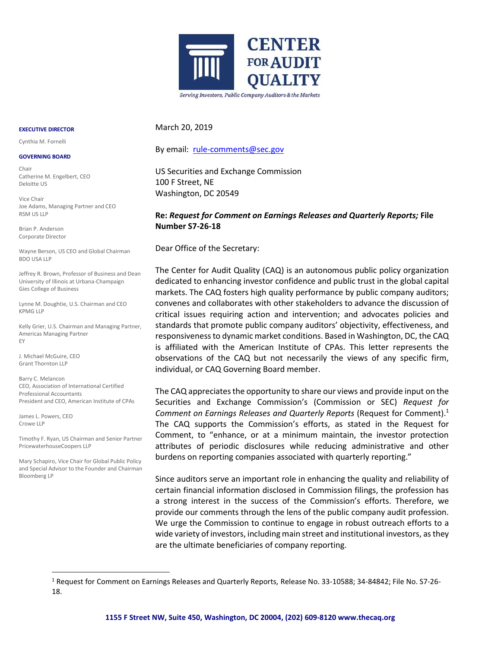

### March 20, 2019

**EXECUTIVE DIRECTOR** Cynthia M. Fornelli

#### **GOVERNING BOARD**

Chair Catherine M. Engelbert, CEO Deloitte US

Vice Chair Joe Adams, Managing Partner and CEO RSM US LLP

Brian P. Anderson Corporate Director

Wayne Berson, US CEO and Global Chairman BDO USA LLP

Jeffrey R. Brown, Professor of Business and Dean University of Illinois at Urbana-Champaign Gies College of Business

Lynne M. Doughtie, U.S. Chairman and CEO KPMG LLP

Kelly Grier, U.S. Chairman and Managing Partner, Americas Managing Partner EY

J. Michael McGuire, CEO Grant Thornton LLP

Barry C. Melancon CEO, Association of International Certified Professional Accountants President and CEO, American Institute of CPAs

James L. Powers, CEO Crowe LLP

 $\overline{a}$ 

Timothy F. Ryan, US Chairman and Senior Partner PricewaterhouseCoopers LLP

Mary Schapiro, Vice Chair for Global Public Policy and Special Advisor to the Founder and Chairman Bloomberg LP

#### By email: [rule-comments@sec.gov](mailto:rule-comments@sec.gov)

US Securities and Exchange Commission 100 F Street, NE Washington, DC 20549

### **Re:** *Request for Comment on Earnings Releases and Quarterly Reports;* **File Number S7-26-18**

Dear Office of the Secretary:

The Center for Audit Quality (CAQ) is an autonomous public policy organization dedicated to enhancing investor confidence and public trust in the global capital markets. The CAQ fosters high quality performance by public company auditors; convenes and collaborates with other stakeholders to advance the discussion of critical issues requiring action and intervention; and advocates policies and standards that promote public company auditors' objectivity, effectiveness, and responsiveness to dynamic market conditions. Based in Washington, DC, the CAQ is affiliated with the American Institute of CPAs. This letter represents the observations of the CAQ but not necessarily the views of any specific firm, individual, or CAQ Governing Board member.

The CAQ appreciates the opportunity to share our views and provide input on the Securities and Exchange Commission's (Commission or SEC) *Request for Comment on Earnings Releases and Quarterly Reports* (Request for Comment). 1 The CAQ supports the Commission's efforts, as stated in the Request for Comment, to "enhance, or at a minimum maintain, the investor protection attributes of periodic disclosures while reducing administrative and other burdens on reporting companies associated with quarterly reporting."

Since auditors serve an important role in enhancing the quality and reliability of certain financial information disclosed in Commission filings, the profession has a strong interest in the success of the Commission's efforts. Therefore, we provide our comments through the lens of the public company audit profession. We urge the Commission to continue to engage in robust outreach efforts to a wide variety of investors, including main street and institutional investors, as they are the ultimate beneficiaries of company reporting.

<sup>1</sup> Request for Comment on Earnings Releases and Quarterly Reports*,* Release No. 33-10588; 34-84842; File No. S7-26- 18.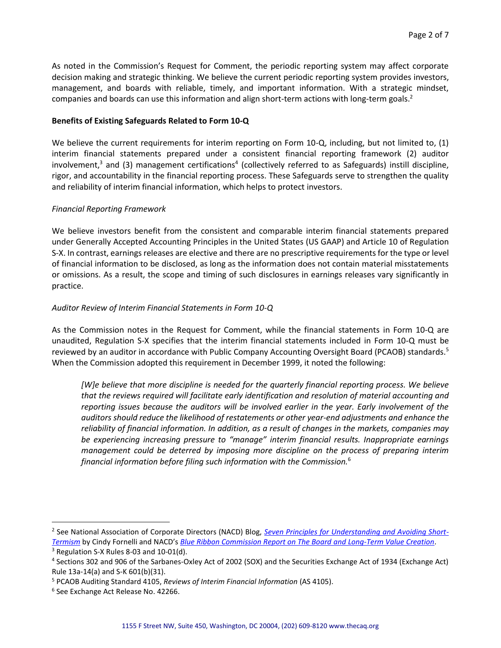As noted in the Commission's Request for Comment, the periodic reporting system may affect corporate decision making and strategic thinking. We believe the current periodic reporting system provides investors, management, and boards with reliable, timely, and important information. With a strategic mindset, companies and boards can use this information and align short-term actions with long-term goals.<sup>2</sup>

### **Benefits of Existing Safeguards Related to Form 10-Q**

We believe the current requirements for interim reporting on Form 10-Q, including, but not limited to, (1) interim financial statements prepared under a consistent financial reporting framework (2) auditor involvement,<sup>3</sup> and (3) management certifications<sup>4</sup> (collectively referred to as Safeguards) instill discipline, rigor, and accountability in the financial reporting process. These Safeguards serve to strengthen the quality and reliability of interim financial information, which helps to protect investors.

### *Financial Reporting Framework*

We believe investors benefit from the consistent and comparable interim financial statements prepared under Generally Accepted Accounting Principles in the United States (US GAAP) and Article 10 of Regulation S-X. In contrast, earnings releases are elective and there are no prescriptive requirements for the type or level of financial information to be disclosed, as long as the information does not contain material misstatements or omissions. As a result, the scope and timing of such disclosures in earnings releases vary significantly in practice.

### *Auditor Review of Interim Financial Statements in Form 10-Q*

As the Commission notes in the Request for Comment, while the financial statements in Form 10-Q are unaudited, Regulation S-X specifies that the interim financial statements included in Form 10-Q must be reviewed by an auditor in accordance with Public Company Accounting Oversight Board (PCAOB) standards.<sup>5</sup> When the Commission adopted this requirement in December 1999, it noted the following:

*[W]e believe that more discipline is needed for the quarterly financial reporting process. We believe that the reviews required will facilitate early identification and resolution of material accounting and reporting issues because the auditors will be involved earlier in the year. Early involvement of the auditors should reduce the likelihood of restatements or other year-end adjustments and enhance the reliability of financial information. In addition, as a result of changes in the markets, companies may be experiencing increasing pressure to "manage" interim financial results. Inappropriate earnings management could be deterred by imposing more discipline on the process of preparing interim financial information before filing such information with the Commission.*<sup>6</sup>

 $\overline{a}$ 

<sup>&</sup>lt;sup>2</sup> See National Association of Corporate Directors (NACD) Blog, **[Seven Principles for Understanding and Avoiding Short-](https://blog.nacdonline.org/posts/seven-principles-for-understanding-and-avoiding-short-termism)***[Termism](https://blog.nacdonline.org/posts/seven-principles-for-understanding-and-avoiding-short-termism)* by Cindy Fornelli and NACD's *[Blue Ribbon Commission Report on The Board and Long-Term Value Creation](https://www.nacdonline.org/insights/publications.cfm?ItemNumber=19764)*.

 $3$  Regulation S-X Rules 8-03 and 10-01(d).

<sup>4</sup> Sections 302 and 906 of the Sarbanes-Oxley Act of 2002 (SOX) and the Securities Exchange Act of 1934 (Exchange Act) Rule 13a-14(a) and S-K 601(b)(31).

<sup>5</sup> PCAOB Auditing Standard 4105, *Reviews of Interim Financial Information* (AS 4105).

<sup>6</sup> See Exchange Act Release No. 42266.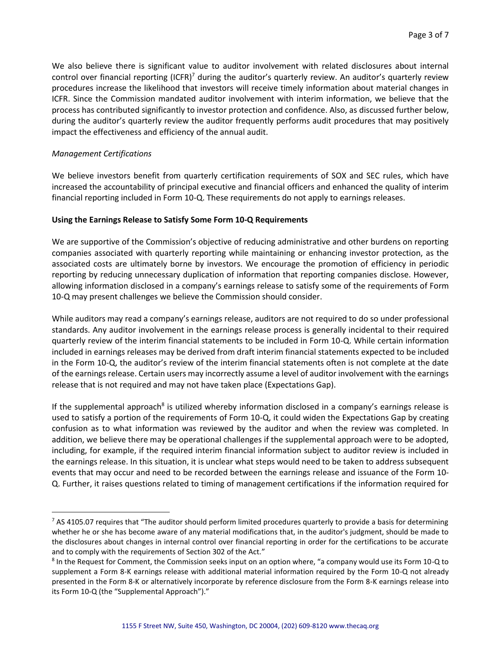We also believe there is significant value to auditor involvement with related disclosures about internal control over financial reporting  $(ICFR)^7$  during the auditor's quarterly review. An auditor's quarterly review procedures increase the likelihood that investors will receive timely information about material changes in ICFR. Since the Commission mandated auditor involvement with interim information, we believe that the process has contributed significantly to investor protection and confidence. Also, as discussed further below, during the auditor's quarterly review the auditor frequently performs audit procedures that may positively impact the effectiveness and efficiency of the annual audit.

# *Management Certifications*

 $\overline{a}$ 

We believe investors benefit from quarterly certification requirements of SOX and SEC rules, which have increased the accountability of principal executive and financial officers and enhanced the quality of interim financial reporting included in Form 10-Q. These requirements do not apply to earnings releases.

### **Using the Earnings Release to Satisfy Some Form 10-Q Requirements**

We are supportive of the Commission's objective of reducing administrative and other burdens on reporting companies associated with quarterly reporting while maintaining or enhancing investor protection, as the associated costs are ultimately borne by investors. We encourage the promotion of efficiency in periodic reporting by reducing unnecessary duplication of information that reporting companies disclose. However, allowing information disclosed in a company's earnings release to satisfy some of the requirements of Form 10-Q may present challenges we believe the Commission should consider.

While auditors may read a company's earnings release, auditors are not required to do so under professional standards. Any auditor involvement in the earnings release process is generally incidental to their required quarterly review of the interim financial statements to be included in Form 10-Q. While certain information included in earnings releases may be derived from draft interim financial statements expected to be included in the Form 10-Q, the auditor's review of the interim financial statements often is not complete at the date of the earnings release. Certain users may incorrectly assume a level of auditor involvement with the earnings release that is not required and may not have taken place (Expectations Gap).

If the supplemental approach<sup>8</sup> is utilized whereby information disclosed in a company's earnings release is used to satisfy a portion of the requirements of Form 10-Q, it could widen the Expectations Gap by creating confusion as to what information was reviewed by the auditor and when the review was completed. In addition, we believe there may be operational challenges if the supplemental approach were to be adopted, including, for example, if the required interim financial information subject to auditor review is included in the earnings release. In this situation, it is unclear what steps would need to be taken to address subsequent events that may occur and need to be recorded between the earnings release and issuance of the Form 10- Q. Further, it raises questions related to timing of management certifications if the information required for

 $7$  AS 4105.07 requires that "The auditor should perform limited procedures quarterly to provide a basis for determining whether he or she has become aware of any material modifications that, in the auditor's judgment, should be made to the disclosures about changes in internal control over financial reporting in order for the certifications to be accurate and to comply with the requirements of Section 302 of the Act."

<sup>&</sup>lt;sup>8</sup> In the Request for Comment, the Commission seeks input on an option where, "a company would use its Form 10-Q to supplement a Form 8-K earnings release with additional material information required by the Form 10-Q not already presented in the Form 8-K or alternatively incorporate by reference disclosure from the Form 8-K earnings release into its Form 10-Q (the "Supplemental Approach")."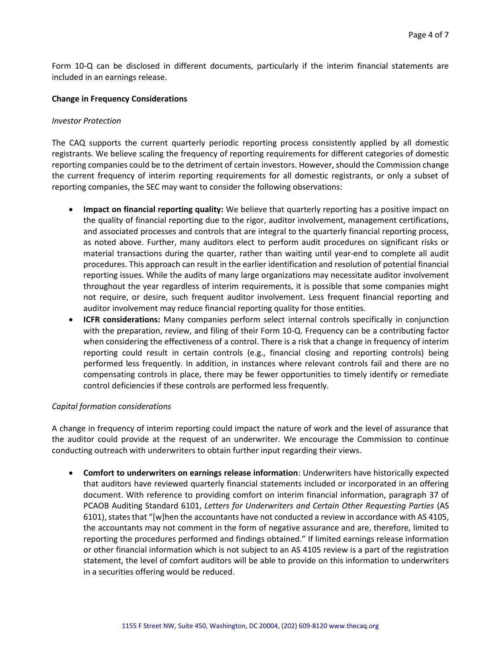Form 10-Q can be disclosed in different documents, particularly if the interim financial statements are included in an earnings release.

### **Change in Frequency Considerations**

### *Investor Protection*

The CAQ supports the current quarterly periodic reporting process consistently applied by all domestic registrants. We believe scaling the frequency of reporting requirements for different categories of domestic reporting companies could be to the detriment of certain investors. However, should the Commission change the current frequency of interim reporting requirements for all domestic registrants, or only a subset of reporting companies, the SEC may want to consider the following observations:

- **Impact on financial reporting quality:** We believe that quarterly reporting has a positive impact on the quality of financial reporting due to the rigor, auditor involvement, management certifications, and associated processes and controls that are integral to the quarterly financial reporting process, as noted above. Further, many auditors elect to perform audit procedures on significant risks or material transactions during the quarter, rather than waiting until year-end to complete all audit procedures. This approach can result in the earlier identification and resolution of potential financial reporting issues. While the audits of many large organizations may necessitate auditor involvement throughout the year regardless of interim requirements, it is possible that some companies might not require, or desire, such frequent auditor involvement. Less frequent financial reporting and auditor involvement may reduce financial reporting quality for those entities.
- **ICFR considerations:** Many companies perform select internal controls specifically in conjunction with the preparation, review, and filing of their Form 10-Q. Frequency can be a contributing factor when considering the effectiveness of a control. There is a risk that a change in frequency of interim reporting could result in certain controls (e.g., financial closing and reporting controls) being performed less frequently. In addition, in instances where relevant controls fail and there are no compensating controls in place, there may be fewer opportunities to timely identify or remediate control deficiencies if these controls are performed less frequently.

### *Capital formation considerations*

A change in frequency of interim reporting could impact the nature of work and the level of assurance that the auditor could provide at the request of an underwriter. We encourage the Commission to continue conducting outreach with underwriters to obtain further input regarding their views.

• **Comfort to underwriters on earnings release information**: Underwriters have historically expected that auditors have reviewed quarterly financial statements included or incorporated in an offering document. With reference to providing comfort on interim financial information, paragraph 37 of PCAOB Auditing Standard 6101, *Letters for Underwriters and Certain Other Requesting Parties* (AS 6101), states that "[w]hen the accountants have not conducted a review in accordance with AS 4105, the accountants may not comment in the form of negative assurance and are, therefore, limited to reporting the procedures performed and findings obtained." If limited earnings release information or other financial information which is not subject to an AS 4105 review is a part of the registration statement, the level of comfort auditors will be able to provide on this information to underwriters in a securities offering would be reduced.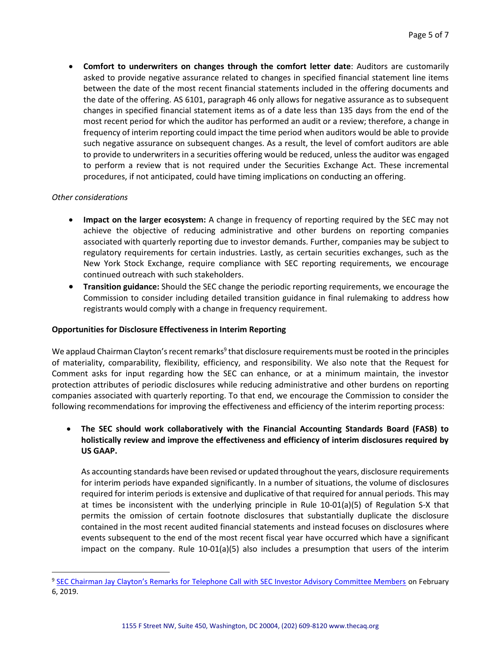• **Comfort to underwriters on changes through the comfort letter date**: Auditors are customarily asked to provide negative assurance related to changes in specified financial statement line items between the date of the most recent financial statements included in the offering documents and the date of the offering. AS 6101, paragraph 46 only allows for negative assurance as to subsequent changes in specified financial statement items as of a date less than 135 days from the end of the most recent period for which the auditor has performed an audit or a review; therefore, a change in frequency of interim reporting could impact the time period when auditors would be able to provide such negative assurance on subsequent changes. As a result, the level of comfort auditors are able to provide to underwriters in a securities offering would be reduced, unless the auditor was engaged to perform a review that is not required under the Securities Exchange Act. These incremental procedures, if not anticipated, could have timing implications on conducting an offering.

# *Other considerations*

 $\overline{a}$ 

- **Impact on the larger ecosystem:** A change in frequency of reporting required by the SEC may not achieve the objective of reducing administrative and other burdens on reporting companies associated with quarterly reporting due to investor demands. Further, companies may be subject to regulatory requirements for certain industries. Lastly, as certain securities exchanges, such as the New York Stock Exchange, require compliance with SEC reporting requirements, we encourage continued outreach with such stakeholders.
- **Transition guidance:** Should the SEC change the periodic reporting requirements, we encourage the Commission to consider including detailed transition guidance in final rulemaking to address how registrants would comply with a change in frequency requirement.

# **Opportunities for Disclosure Effectiveness in Interim Reporting**

We applaud Chairman Clayton's recent remarks<sup>9</sup> that disclosure requirements must be rooted in the principles of materiality, comparability, flexibility, efficiency, and responsibility. We also note that the Request for Comment asks for input regarding how the SEC can enhance, or at a minimum maintain, the investor protection attributes of periodic disclosures while reducing administrative and other burdens on reporting companies associated with quarterly reporting. To that end, we encourage the Commission to consider the following recommendations for improving the effectiveness and efficiency of the interim reporting process:

# • **The SEC should work collaboratively with the Financial Accounting Standards Board (FASB) to holistically review and improve the effectiveness and efficiency of interim disclosures required by US GAAP.**

As accounting standards have been revised or updated throughout the years, disclosure requirements for interim periods have expanded significantly. In a number of situations, the volume of disclosures required for interim periods is extensive and duplicative of that required for annual periods. This may at times be inconsistent with the underlying principle in Rule 10-01(a)(5) of Regulation S-X that permits the omission of certain footnote disclosures that substantially duplicate the disclosure contained in the most recent audited financial statements and instead focuses on disclosures where events subsequent to the end of the most recent fiscal year have occurred which have a significant impact on the company. Rule 10-01(a)(5) also includes a presumption that users of the interim

<sup>&</sup>lt;sup>9</sup> [SEC Chairman Jay Clayton's Remarks for Telephone Call with SEC Investor Advisory Committee Members](https://www.sec.gov/news/public-statement/clayton-remarks-investor-advisory-committee-call-020619) on February 6, 2019.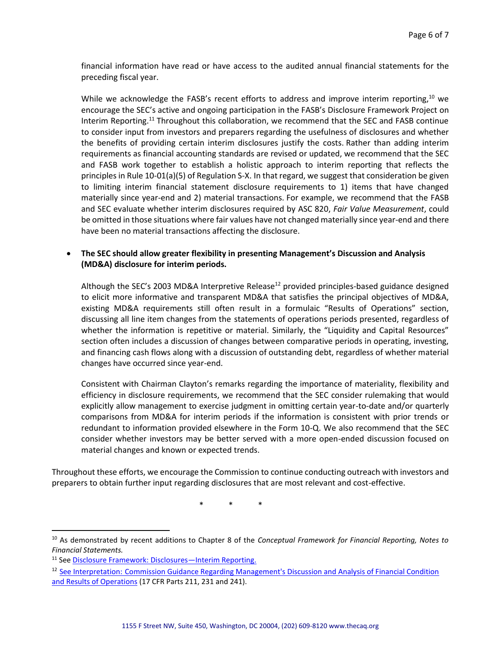financial information have read or have access to the audited annual financial statements for the preceding fiscal year.

While we acknowledge the FASB's recent efforts to address and improve interim reporting, $10$  we encourage the SEC's active and ongoing participation in the FASB's Disclosure Framework Project on Interim Reporting.<sup>11</sup> Throughout this collaboration, we recommend that the SEC and FASB continue to consider input from investors and preparers regarding the usefulness of disclosures and whether the benefits of providing certain interim disclosures justify the costs. Rather than adding interim requirements as financial accounting standards are revised or updated, we recommend that the SEC and FASB work together to establish a holistic approach to interim reporting that reflects the principles in Rule 10-01(a)(5) of Regulation S-X. In that regard, we suggest that consideration be given to limiting interim financial statement disclosure requirements to 1) items that have changed materially since year-end and 2) material transactions. For example, we recommend that the FASB and SEC evaluate whether interim disclosures required by ASC 820, *Fair Value Measurement*, could be omitted in those situations where fair values have not changed materially since year-end and there have been no material transactions affecting the disclosure.

# • **The SEC should allow greater flexibility in presenting Management's Discussion and Analysis (MD&A) disclosure for interim periods.**

Although the SEC's 2003 MD&A Interpretive Release<sup>12</sup> provided principles-based guidance designed to elicit more informative and transparent MD&A that satisfies the principal objectives of MD&A, existing MD&A requirements still often result in a formulaic "Results of Operations" section, discussing all line item changes from the statements of operations periods presented, regardless of whether the information is repetitive or material. Similarly, the "Liquidity and Capital Resources" section often includes a discussion of changes between comparative periods in operating, investing, and financing cash flows along with a discussion of outstanding debt, regardless of whether material changes have occurred since year-end.

Consistent with Chairman Clayton's remarks regarding the importance of materiality, flexibility and efficiency in disclosure requirements, we recommend that the SEC consider rulemaking that would explicitly allow management to exercise judgment in omitting certain year-to-date and/or quarterly comparisons from MD&A for interim periods if the information is consistent with prior trends or redundant to information provided elsewhere in the Form 10-Q. We also recommend that the SEC consider whether investors may be better served with a more open-ended discussion focused on material changes and known or expected trends.

Throughout these efforts, we encourage the Commission to continue conducting outreach with investors and preparers to obtain further input regarding disclosures that are most relevant and cost-effective.

\* \* \*

 $\overline{a}$ 

<sup>10</sup> As demonstrated by recent additions to Chapter 8 of the *Conceptual Framework for Financial Reporting, Notes to Financial Statements.*

<sup>11</sup> See [Disclosure Framework: Disclosures](https://www.fasb.org/cs/ContentServer?c=FASBContent_C&cid=1176170690730&d=&pagename=FASB%2FFASBContent_C%2FProjectUpdateExpandPage)—Interim Reporting.

<sup>&</sup>lt;sup>12</sup> See Interpretation: Commission Guidance Regarding Management's Discussion and Analysis of Financial Condition [and Results of Operations](https://www.sec.gov/rules/interp/33-8350.htm) (17 CFR Parts 211, 231 and 241).